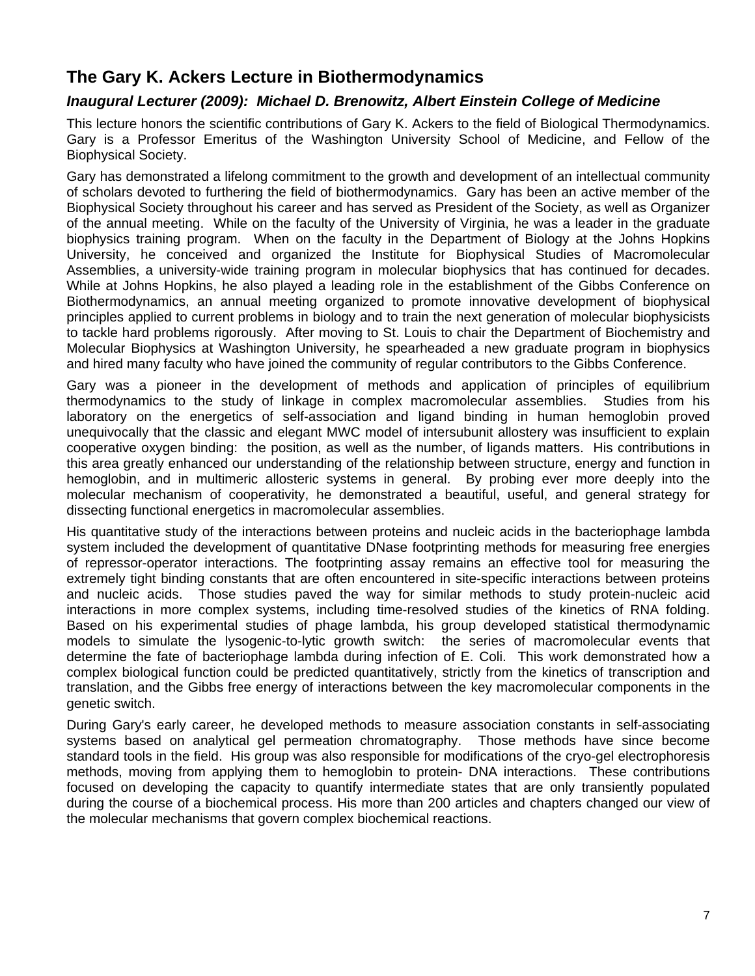## **The Gary K. Ackers Lecture in Biothermodynamics**

#### *Inaugural Lecturer (2009): Michael D. Brenowitz, Albert Einstein College of Medicine*

This lecture honors the scientific contributions of Gary K. Ackers to the field of Biological Thermodynamics. Gary is a Professor Emeritus of the Washington University School of Medicine, and Fellow of the Biophysical Society.

Gary has demonstrated a lifelong commitment to the growth and development of an intellectual community of scholars devoted to furthering the field of biothermodynamics. Gary has been an active member of the Biophysical Society throughout his career and has served as President of the Society, as well as Organizer of the annual meeting. While on the faculty of the University of Virginia, he was a leader in the graduate biophysics training program. When on the faculty in the Department of Biology at the Johns Hopkins University, he conceived and organized the Institute for Biophysical Studies of Macromolecular Assemblies, a university-wide training program in molecular biophysics that has continued for decades. While at Johns Hopkins, he also played a leading role in the establishment of the Gibbs Conference on Biothermodynamics, an annual meeting organized to promote innovative development of biophysical principles applied to current problems in biology and to train the next generation of molecular biophysicists to tackle hard problems rigorously. After moving to St. Louis to chair the Department of Biochemistry and Molecular Biophysics at Washington University, he spearheaded a new graduate program in biophysics and hired many faculty who have joined the community of regular contributors to the Gibbs Conference.

Gary was a pioneer in the development of methods and application of principles of equilibrium thermodynamics to the study of linkage in complex macromolecular assemblies. Studies from his laboratory on the energetics of self-association and ligand binding in human hemoglobin proved unequivocally that the classic and elegant MWC model of intersubunit allostery was insufficient to explain cooperative oxygen binding: the position, as well as the number, of ligands matters. His contributions in this area greatly enhanced our understanding of the relationship between structure, energy and function in hemoglobin, and in multimeric allosteric systems in general. By probing ever more deeply into the molecular mechanism of cooperativity, he demonstrated a beautiful, useful, and general strategy for dissecting functional energetics in macromolecular assemblies.

His quantitative study of the interactions between proteins and nucleic acids in the bacteriophage lambda system included the development of quantitative DNase footprinting methods for measuring free energies of repressor-operator interactions. The footprinting assay remains an effective tool for measuring the extremely tight binding constants that are often encountered in site-specific interactions between proteins and nucleic acids. Those studies paved the way for similar methods to study protein-nucleic acid interactions in more complex systems, including time-resolved studies of the kinetics of RNA folding. Based on his experimental studies of phage lambda, his group developed statistical thermodynamic models to simulate the lysogenic-to-lytic growth switch: the series of macromolecular events that determine the fate of bacteriophage lambda during infection of E. Coli. This work demonstrated how a complex biological function could be predicted quantitatively, strictly from the kinetics of transcription and translation, and the Gibbs free energy of interactions between the key macromolecular components in the genetic switch.

During Gary's early career, he developed methods to measure association constants in self-associating systems based on analytical gel permeation chromatography. Those methods have since become standard tools in the field. His group was also responsible for modifications of the cryo-gel electrophoresis methods, moving from applying them to hemoglobin to protein- DNA interactions. These contributions focused on developing the capacity to quantify intermediate states that are only transiently populated during the course of a biochemical process. His more than 200 articles and chapters changed our view of the molecular mechanisms that govern complex biochemical reactions.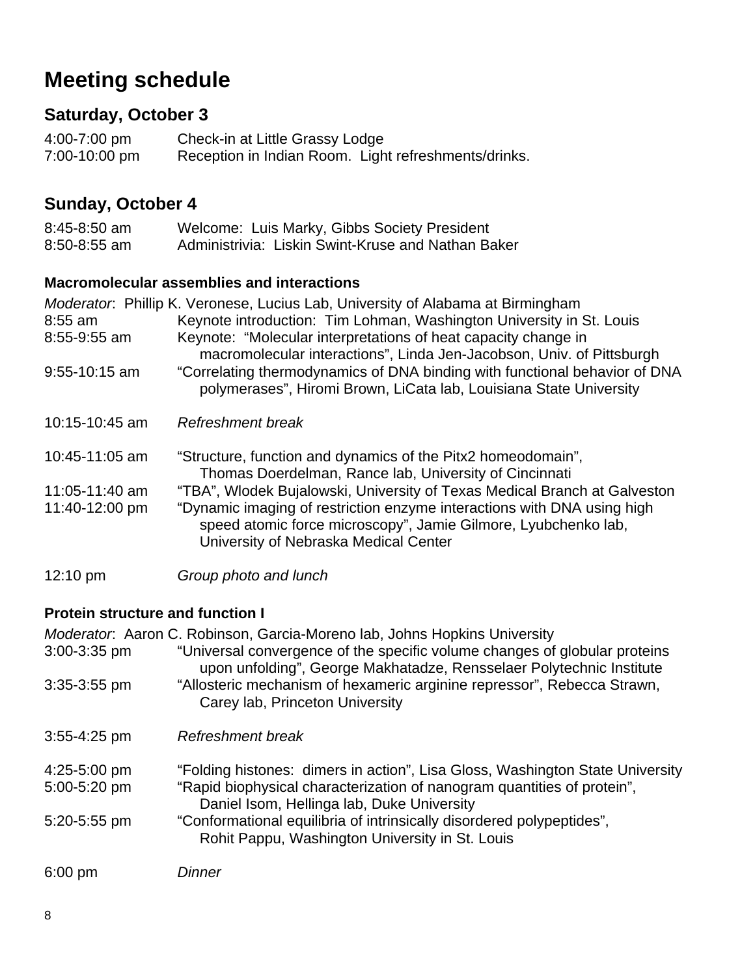# **Meeting schedule**

## **Saturday, October 3**

4:00-7:00 pm Check-in at Little Grassy Lodge<br>7:00-10:00 pm Reception in Indian Room. Ligh Reception in Indian Room. Light refreshments/drinks.

## **Sunday, October 4**

| $8:45 - 8:50$ am | Welcome: Luis Marky, Gibbs Society President       |
|------------------|----------------------------------------------------|
| $8:50 - 8:55$ am | Administrivia: Liskin Swint-Kruse and Nathan Baker |

#### **Macromolecular assemblies and interactions**

|                | Moderator: Phillip K. Veronese, Lucius Lab, University of Alabama at Birmingham                                                                                                    |
|----------------|------------------------------------------------------------------------------------------------------------------------------------------------------------------------------------|
| $8:55$ am      | Keynote introduction: Tim Lohman, Washington University in St. Louis                                                                                                               |
| 8:55-9:55 am   | Keynote: "Molecular interpretations of heat capacity change in<br>macromolecular interactions", Linda Jen-Jacobson, Univ. of Pittsburgh                                            |
| 9:55-10:15 am  | "Correlating thermodynamics of DNA binding with functional behavior of DNA<br>polymerases", Hiromi Brown, LiCata lab, Louisiana State University                                   |
| 10:15-10:45 am | Refreshment break                                                                                                                                                                  |
| 10:45-11:05 am | "Structure, function and dynamics of the Pitx2 homeodomain",<br>Thomas Doerdelman, Rance lab, University of Cincinnati                                                             |
| 11:05-11:40 am | "TBA", Wlodek Bujalowski, University of Texas Medical Branch at Galveston                                                                                                          |
| 11:40-12:00 pm | "Dynamic imaging of restriction enzyme interactions with DNA using high<br>speed atomic force microscopy", Jamie Gilmore, Lyubchenko lab,<br>University of Nebraska Medical Center |

12:10 pm *Group photo and lunch* 

### **Protein structure and function I**

|                  | Moderator: Aaron C. Robinson, Garcia-Moreno lab, Johns Hopkins University                                                                          |
|------------------|----------------------------------------------------------------------------------------------------------------------------------------------------|
| $3:00 - 3:35$ pm | "Universal convergence of the specific volume changes of globular proteins<br>upon unfolding", George Makhatadze, Rensselaer Polytechnic Institute |
| $3:35-3:55$ pm   | "Allosteric mechanism of hexameric arginine repressor", Rebecca Strawn,<br>Carey lab, Princeton University                                         |
| $3:55 - 4:25$ pm | Refreshment break                                                                                                                                  |
| 4:25-5:00 pm     | "Folding histones: dimers in action", Lisa Gloss, Washington State University                                                                      |
| 5:00-5:20 pm     | "Rapid biophysical characterization of nanogram quantities of protein",<br>Daniel Isom, Hellinga lab, Duke University                              |
| 5:20-5:55 pm     | "Conformational equilibria of intrinsically disordered polypeptides",<br>Rohit Pappu, Washington University in St. Louis                           |
| $6:00$ pm        | <b>Dinner</b>                                                                                                                                      |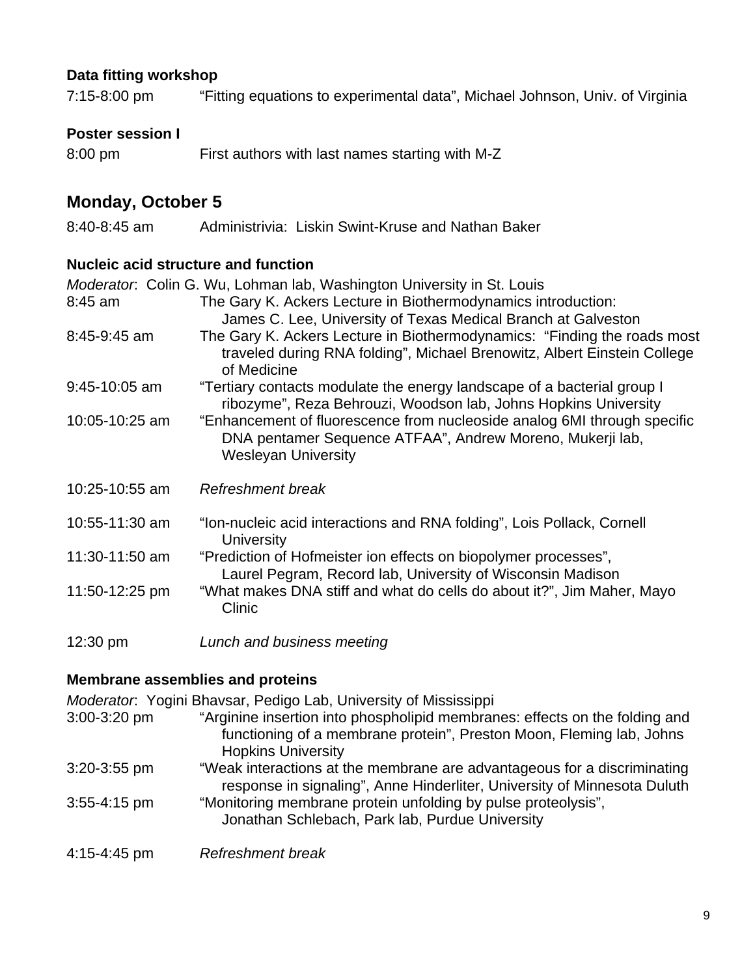#### **Data fitting workshop**

7:15-8:00 pm "Fitting equations to experimental data", Michael Johnson, Univ. of Virginia

#### **Poster session I**

| 8:00 pm | First authors with last names starting with M-Z |  |
|---------|-------------------------------------------------|--|

## **Monday, October 5**

8:40-8:45 am Administrivia: Liskin Swint-Kruse and Nathan Baker

#### **Nucleic acid structure and function**

|                | Moderator: Colin G. Wu, Lohman lab, Washington University in St. Louis                                                                                              |
|----------------|---------------------------------------------------------------------------------------------------------------------------------------------------------------------|
| 8:45 am        | The Gary K. Ackers Lecture in Biothermodynamics introduction:<br>James C. Lee, University of Texas Medical Branch at Galveston                                      |
| 8:45-9:45 am   | The Gary K. Ackers Lecture in Biothermodynamics: "Finding the roads most<br>traveled during RNA folding", Michael Brenowitz, Albert Einstein College<br>of Medicine |
| 9:45-10:05 am  | "Tertiary contacts modulate the energy landscape of a bacterial group I<br>ribozyme", Reza Behrouzi, Woodson lab, Johns Hopkins University                          |
| 10:05-10:25 am | "Enhancement of fluorescence from nucleoside analog 6MI through specific<br>DNA pentamer Sequence ATFAA", Andrew Moreno, Mukerji lab,<br><b>Wesleyan University</b> |
| 10:25-10:55 am | Refreshment break                                                                                                                                                   |
| 10:55-11:30 am | "Ion-nucleic acid interactions and RNA folding", Lois Pollack, Cornell<br><b>University</b>                                                                         |
| 11:30-11:50 am | "Prediction of Hofmeister ion effects on biopolymer processes",<br>Laurel Pegram, Record lab, University of Wisconsin Madison                                       |
| 11:50-12:25 pm | "What makes DNA stiff and what do cells do about it?", Jim Maher, Mayo<br>Clinic                                                                                    |
| 12:30 pm       | Lunch and business meeting                                                                                                                                          |

#### **Membrane assemblies and proteins**

*Moderator*: Yogini Bhavsar, Pedigo Lab, University of Mississippi

- 3:00-3:20 pm "Arginine insertion into phospholipid membranes: effects on the folding and functioning of a membrane protein", Preston Moon, Fleming lab, Johns Hopkins University 3:20-3:55 pm "Weak interactions at the membrane are advantageous for a discriminating response in signaling", Anne Hinderliter, University of Minnesota Duluth 3:55-4:15 pm "Monitoring membrane protein unfolding by pulse proteolysis", Jonathan Schlebach, Park lab, Purdue University
- 4:15-4:45 pm *Refreshment break*